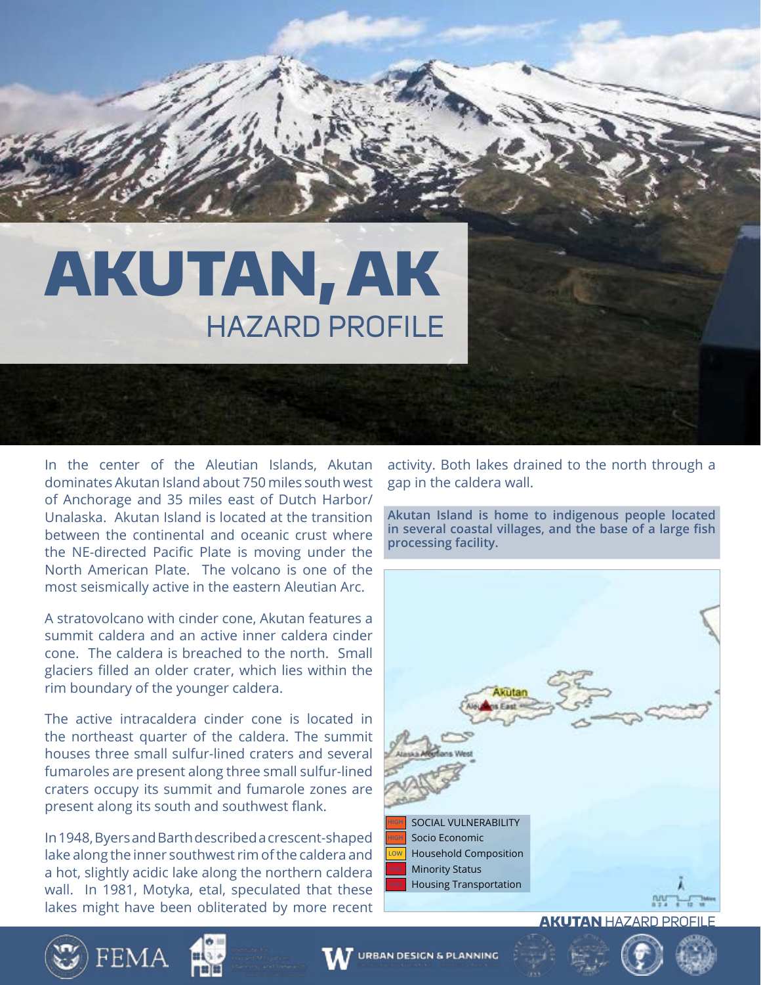# AKUTAN, AK HAZARD PROFILE

In the center of the Aleutian Islands, Akutan dominates Akutan Island about 750 miles south west of Anchorage and 35 miles east of Dutch Harbor/ Unalaska. Akutan Island is located at the transition between the continental and oceanic crust where the NE-directed Pacific Plate is moving under the North American Plate. The volcano is one of the most seismically active in the eastern Aleutian Arc.

A stratovolcano with cinder cone, Akutan features a summit caldera and an active inner caldera cinder cone. The caldera is breached to the north. Small glaciers filled an older crater, which lies within the rim boundary of the younger caldera.

The active intracaldera cinder cone is located in the northeast quarter of the caldera. The summit houses three small sulfur-lined craters and several fumaroles are present along three small sulfur-lined craters occupy its summit and fumarole zones are present along its south and southwest flank.

In 1948, Byers and Barth described a crescent-shaped lake along the inner southwest rim of the caldera and a hot, slightly acidic lake along the northern caldera wall. In 1981, Motyka, etal, speculated that these lakes might have been obliterated by more recent

**FEMA** 

activity. Both lakes drained to the north through a gap in the caldera wall.

**Akutan Island is home to indigenous people located in several coastal villages, and the base of a large fish processing facility.** 



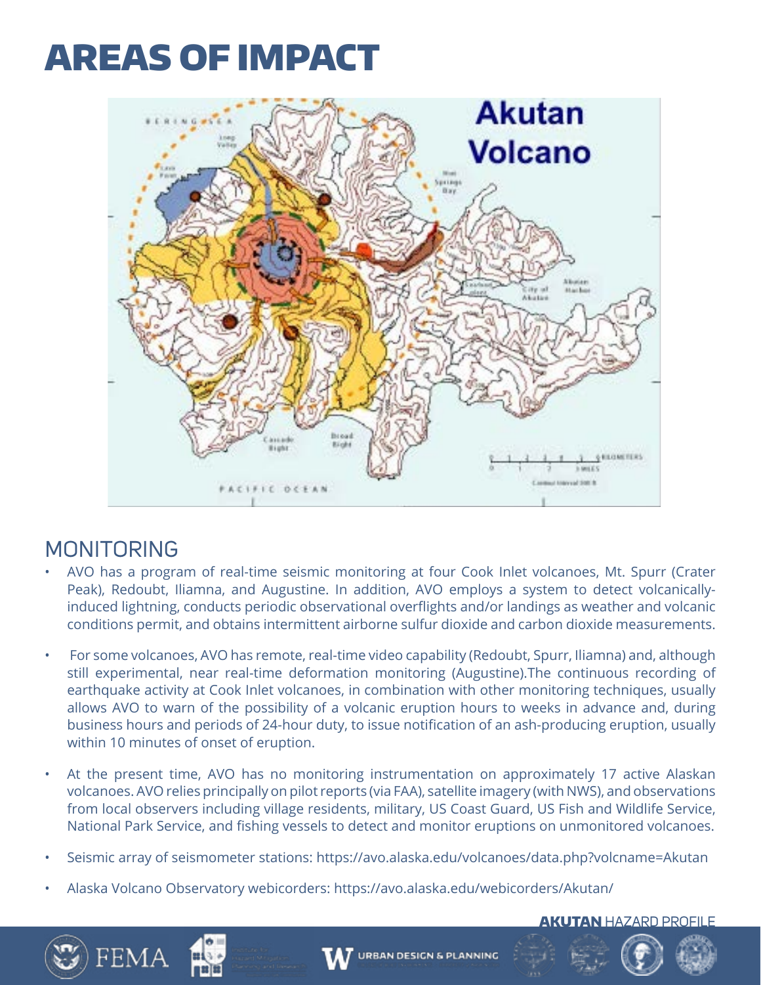

### MONITORING

- AVO has a program of real-time seismic monitoring at four Cook Inlet volcanoes, Mt. Spurr (Crater Peak), Redoubt, Iliamna, and Augustine. In addition, AVO employs a system to detect volcanicallyinduced lightning, conducts periodic observational overflights and/or landings as weather and volcanic conditions permit, and obtains intermittent airborne sulfur dioxide and carbon dioxide measurements.
- For some volcanoes, AVO has remote, real-time video capability (Redoubt, Spurr, Iliamna) and, although still experimental, near real-time deformation monitoring (Augustine).The continuous recording of earthquake activity at Cook Inlet volcanoes, in combination with other monitoring techniques, usually allows AVO to warn of the possibility of a volcanic eruption hours to weeks in advance and, during business hours and periods of 24-hour duty, to issue notification of an ash-producing eruption, usually within 10 minutes of onset of eruption.
- At the present time, AVO has no monitoring instrumentation on approximately 17 active Alaskan volcanoes. AVO relies principally on pilot reports (via FAA), satellite imagery (with NWS), and observations from local observers including village residents, military, US Coast Guard, US Fish and Wildlife Service, National Park Service, and fishing vessels to detect and monitor eruptions on unmonitored volcanoes.
- Seismic array of seismometer stations: https://avo.alaska.edu/volcanoes/data.php?volcname=Akutan
- Alaska Volcano Observatory webicorders: https://avo.alaska.edu/webicorders/Akutan/

**AKUTAN** HAZARD PROFILE





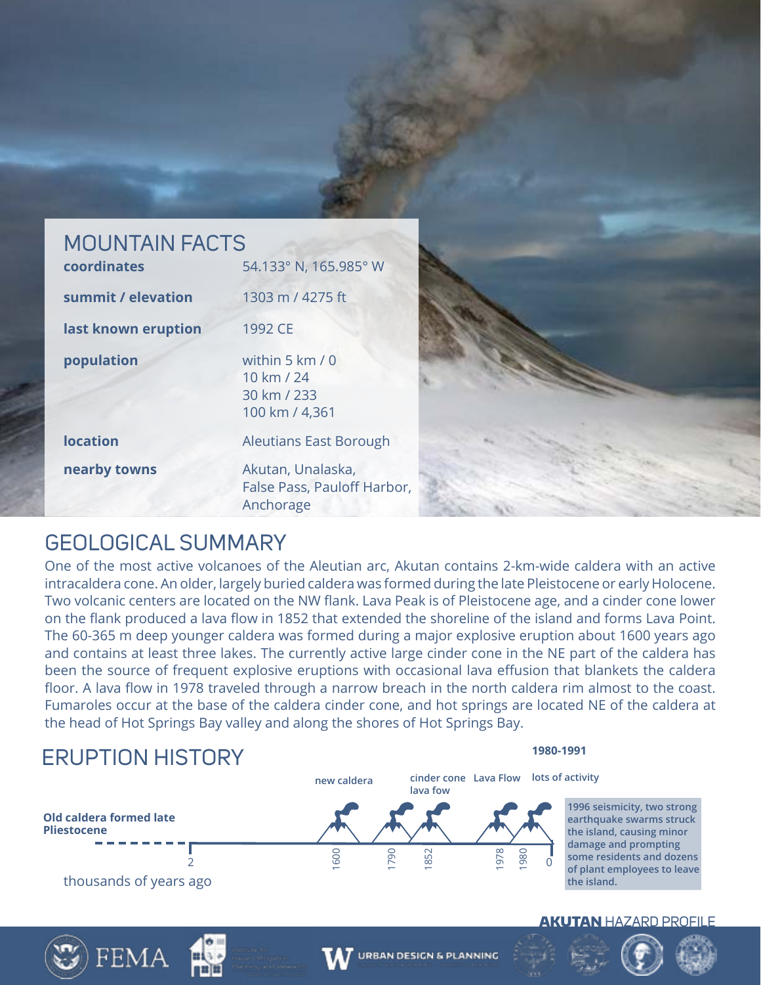| <b>MOUNTAIN FACTS</b> |                               |  |
|-----------------------|-------------------------------|--|
| coordinates           | 54.133° N, 165.985° W         |  |
| summit / elevation    | 1303 m / 4275 ft              |  |
| last known eruption   | 1992 CE                       |  |
| population            | within 5 km / 0               |  |
|                       | 10 km / 24<br>30 km / 233     |  |
|                       | 100 km / 4,361                |  |
| <b>location</b>       | <b>Aleutians East Borough</b> |  |
| nearby towns          | Akutan, Unalaska,             |  |
|                       | False Pass, Pauloff Harbor,   |  |
|                       | Anchorage                     |  |

### GEOLOGICAL SUMMARY

FEM

One of the most active volcanoes of the Aleutian arc, Akutan contains 2-km-wide caldera with an active intracaldera cone. An older, largely buried caldera was formed during the late Pleistocene or early Holocene. Two volcanic centers are located on the NW flank. Lava Peak is of Pleistocene age, and a cinder cone lower on the flank produced a lava flow in 1852 that extended the shoreline of the island and forms Lava Point. The 60-365 m deep younger caldera was formed during a major explosive eruption about 1600 years ago and contains at least three lakes. The currently active large cinder cone in the NE part of the caldera has been the source of frequent explosive eruptions with occasional lava effusion that blankets the caldera floor. A lava flow in 1978 traveled through a narrow breach in the north caldera rim almost to the coast. Fumaroles occur at the base of the caldera cinder cone, and hot springs are located NE of the caldera at the head of Hot Springs Bay valley and along the shores of Hot Springs Bay.



#### **AKUTAN HAZARD PROFILE**



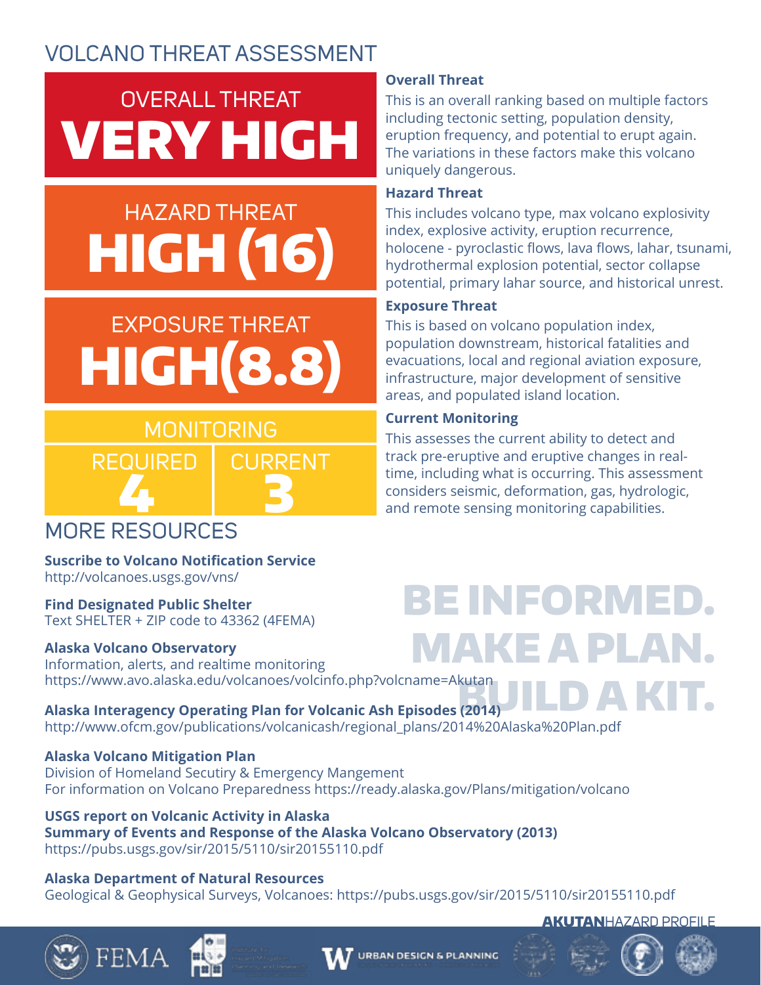## OVERALL THREAT VERY HIGH

## HAZARD THREAT HIGH (16)

## EXPOSURE THREAT HIGH(8.8)

## MONITORING REQUIRED | CURRENT 4 3

### MORE RESOURCES

**Suscribe to Volcano Notification Service**  http://volcanoes.usgs.gov/vns/

**Find Designated Public Shelter** Text SHELTER + ZIP code to 43362 (4FEMA)

#### **Alaska Volcano Observatory**

Information, alerts, and realtime monitoring https://www.avo.alaska.edu/volcanoes/volcinfo.php?volcname=Akutan

 $\lim_{(2014)}$ JILD A KIT. **Alaska Interagency Operating Plan for Volcanic Ash Episodes (2014)** http://www.ofcm.gov/publications/volcanicash/regional\_plans/2014%20Alaska%20Plan.pdf

#### **Alaska Volcano Mitigation Plan**

Division of Homeland Secutiry & Emergency Mangement For information on Volcano Preparedness https://ready.alaska.gov/Plans/mitigation/volcano

**USGS report on Volcanic Activity in Alaska Summary of Events and Response of the Alaska Volcano Observatory (2013)** https://pubs.usgs.gov/sir/2015/5110/sir20155110.pdf

#### **Alaska Department of Natural Resources**

Geological & Geophysical Surveys, Volcanoes: https://pubs.usgs.gov/sir/2015/5110/sir20155110.pdf

### **Overall Threat**

This is an overall ranking based on multiple factors including tectonic setting, population density, eruption frequency, and potential to erupt again. The variations in these factors make this volcano uniquely dangerous.

#### **Hazard Threat**

This includes volcano type, max volcano explosivity index, explosive activity, eruption recurrence, holocene - pyroclastic flows, lava flows, lahar, tsunami, hydrothermal explosion potential, sector collapse potential, primary lahar source, and historical unrest.

#### **Exposure Threat**

This is based on volcano population index, population downstream, historical fatalities and evacuations, local and regional aviation exposure, infrastructure, major development of sensitive areas, and populated island location.

#### **Current Monitoring**

This assesses the current ability to detect and track pre-eruptive and eruptive changes in realtime, including what is occurring. This assessment considers seismic, deformation, gas, hydrologic, and remote sensing monitoring capabilities.

## BE INFORMED. MAKE A PLAN.

#### **AKUTAN**HAZARD PROFILE









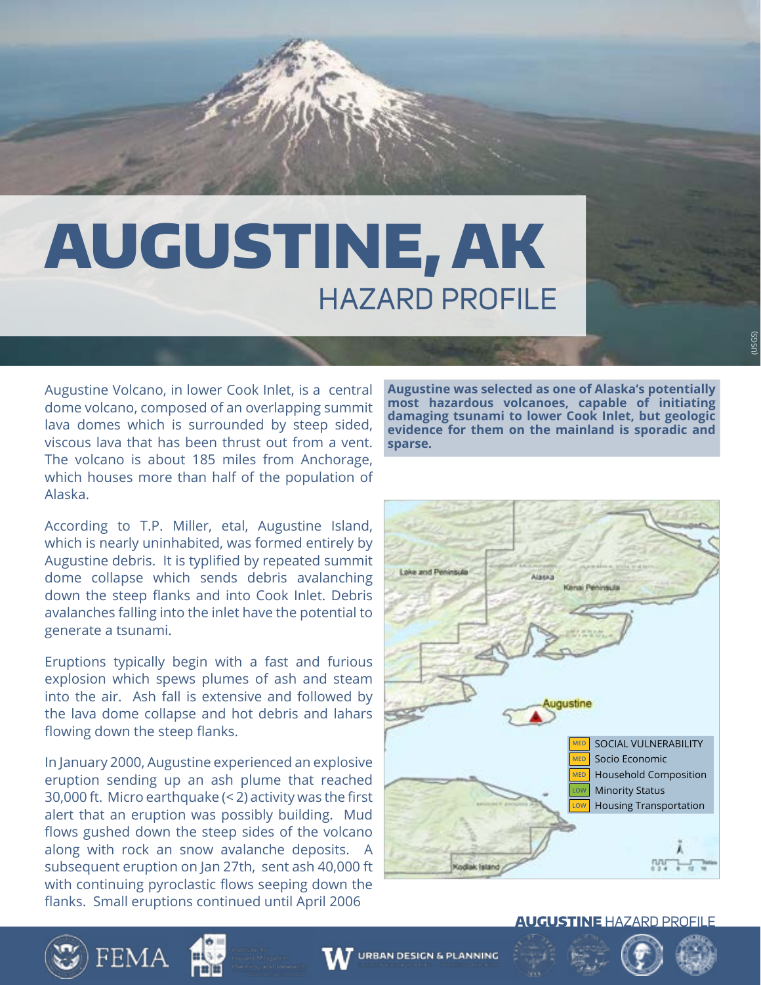# AUGUSTINE, AK HAZARD PROFILE

Augustine Volcano, in lower Cook Inlet, is a central dome volcano, composed of an overlapping summit lava domes which is surrounded by steep sided, viscous lava that has been thrust out from a vent. The volcano is about 185 miles from Anchorage, which houses more than half of the population of Alaska.

According to T.P. Miller, etal, Augustine Island, which is nearly uninhabited, was formed entirely by Augustine debris. It is typlified by repeated summit dome collapse which sends debris avalanching down the steep flanks and into Cook Inlet. Debris avalanches falling into the inlet have the potential to generate a tsunami.

Eruptions typically begin with a fast and furious explosion which spews plumes of ash and steam into the air. Ash fall is extensive and followed by the lava dome collapse and hot debris and lahars flowing down the steep flanks.

In January 2000, Augustine experienced an explosive eruption sending up an ash plume that reached 30,000 ft. Micro earthquake (< 2) activity was the first alert that an eruption was possibly building. Mud flows gushed down the steep sides of the volcano along with rock an snow avalanche deposits. A subsequent eruption on Jan 27th, sent ash 40,000 ft with continuing pyroclastic flows seeping down the flanks. Small eruptions continued until April 2006

**Augustine was selected as one of Alaska's potentially most hazardous volcanoes, capable of initiating damaging tsunami to lower Cook Inlet, but geologic evidence for them on the mainland is sporadic and sparse.**

(USGS)



#### **AUGUSTINE HAZARD PROFILE**





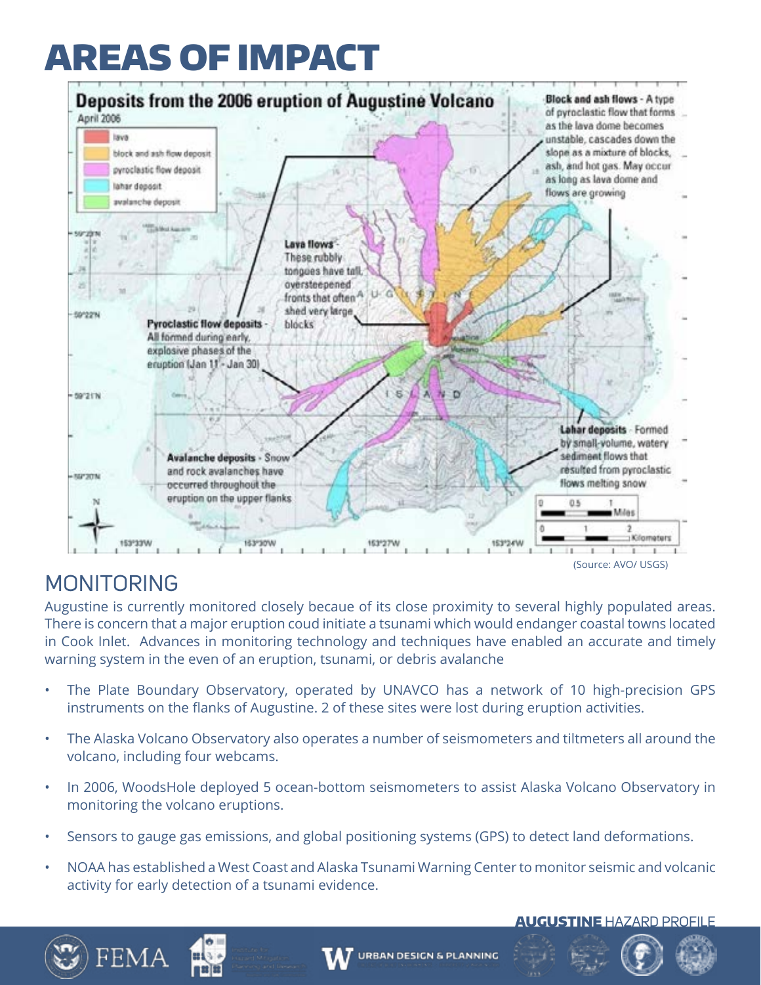

### MONITORING

Augustine is currently monitored closely becaue of its close proximity to several highly populated areas. There is concern that a major eruption coud initiate a tsunami which would endanger coastal towns located in Cook Inlet. Advances in monitoring technology and techniques have enabled an accurate and timely warning system in the even of an eruption, tsunami, or debris avalanche

- The Plate Boundary Observatory, operated by UNAVCO has a network of 10 high-precision GPS instruments on the flanks of Augustine. 2 of these sites were lost during eruption activities.
- The Alaska Volcano Observatory also operates a number of seismometers and tiltmeters all around the volcano, including four webcams.
- In 2006, WoodsHole deployed 5 ocean-bottom seismometers to assist Alaska Volcano Observatory in monitoring the volcano eruptions.
- Sensors to gauge gas emissions, and global positioning systems (GPS) to detect land deformations.
- NOAA has established a West Coast and Alaska Tsunami Warning Center to monitor seismic and volcanic activity for early detection of a tsunami evidence.







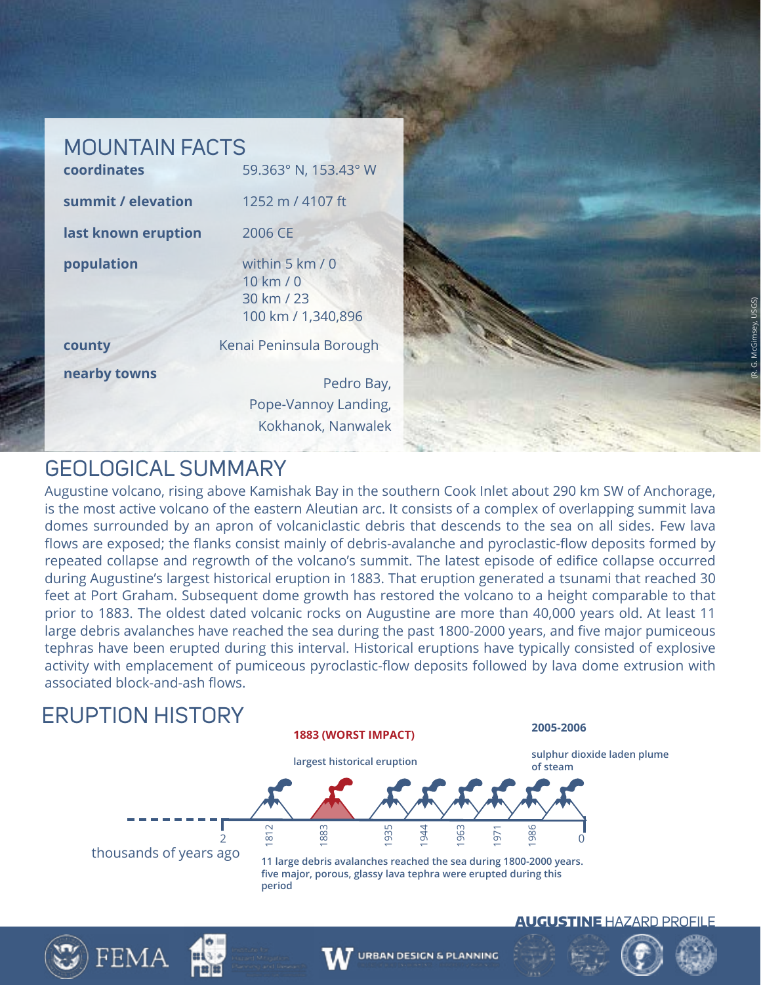### MOUNTAIN FACTS **coordinates** 59.363° N, 153.43° W

**summit / elevation** 1252 m / 4107 ft

**last known eruption** 2006 CE

**population** within 5 km / 0 10 km / 0 30 km / 23 100 km / 1,340,896

**county Kenai Peninsula Borough** 

**nearby towns** Pedro Bay,

Pope-Vannoy Landing, Kokhanok, Nanwalek

### GEOLOGICAL SUMMARY

Augustine volcano, rising above Kamishak Bay in the southern Cook Inlet about 290 km SW of Anchorage, is the most active volcano of the eastern Aleutian arc. It consists of a complex of overlapping summit lava domes surrounded by an apron of volcaniclastic debris that descends to the sea on all sides. Few lava flows are exposed; the flanks consist mainly of debris-avalanche and pyroclastic-flow deposits formed by repeated collapse and regrowth of the volcano's summit. The latest episode of edifice collapse occurred during Augustine's largest historical eruption in 1883. That eruption generated a tsunami that reached 30 feet at Port Graham. Subsequent dome growth has restored the volcano to a height comparable to that prior to 1883. The oldest dated volcanic rocks on Augustine are more than 40,000 years old. At least 11 large debris avalanches have reached the sea during the past 1800-2000 years, and five major pumiceous tephras have been erupted during this interval. Historical eruptions have typically consisted of explosive activity with emplacement of pumiceous pyroclastic-flow deposits followed by lava dome extrusion with associated block-and-ash flows.

### ERUPTION HISTORY









#### **AUGUSTINE HAZARD PROFILE**

(R. G. McGimsey, USGS)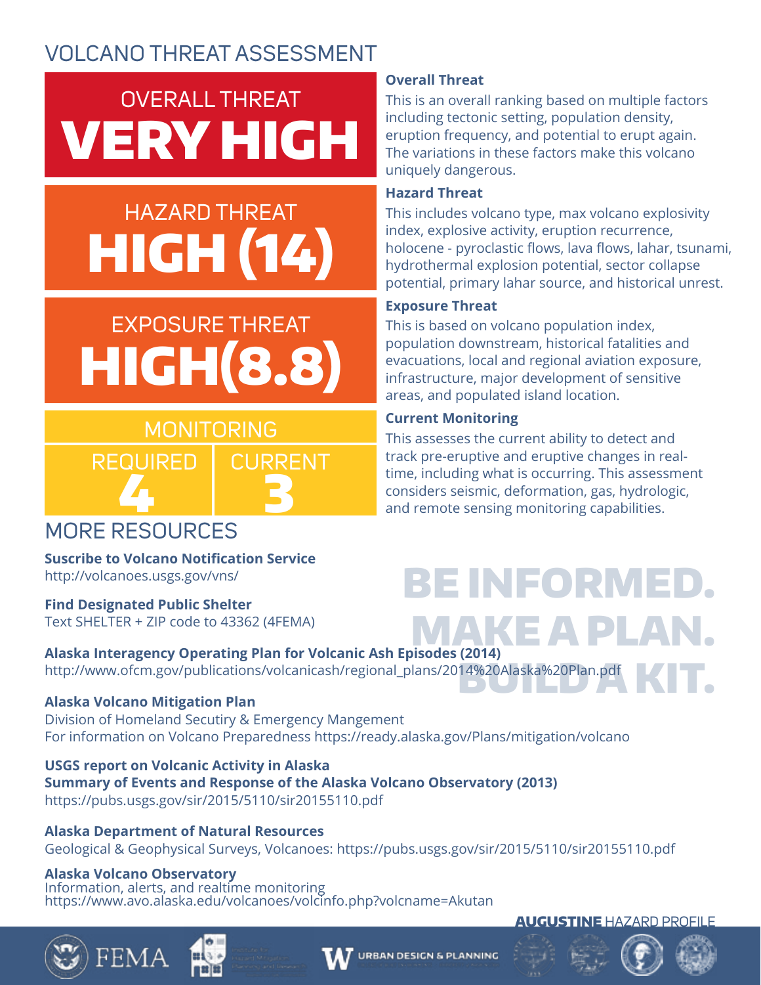## OVERALL THREAT VERY HIGH

## HAZARD THREAT **HIGH (1**

## EXPOSURE THREAT HIGH(8.8)

## MONITORING REQUIRED | CURRENT 4 3

### MORE RESOURCES

**Suscribe to Volcano Notification Service**  http://volcanoes.usgs.gov/vns/

**Find Designated Public Shelter** Text SHELTER + ZIP code to 43362 (4FEMA)

### http://www.ofcm.gov/publications/volcanicash/regional\_plans/2014%20Alaska%20Plan.pdf<br>Alsola Valence Mitiation Plan **Alaska Interagency Operating Plan for Volcanic Ash Episodes (2014)**

#### **Alaska Volcano Mitigation Plan**

fem/

Division of Homeland Secutiry & Emergency Mangement For information on Volcano Preparedness https://ready.alaska.gov/Plans/mitigation/volcano

**USGS report on Volcanic Activity in Alaska Summary of Events and Response of the Alaska Volcano Observatory (2013)** https://pubs.usgs.gov/sir/2015/5110/sir20155110.pdf

**Alaska Department of Natural Resources** Geological & Geophysical Surveys, Volcanoes: https://pubs.usgs.gov/sir/2015/5110/sir20155110.pdf

**Alaska Volcano Observatory**  Information, alerts, and realtime monitoring https://www.avo.alaska.edu/volcanoes/volcinfo.php?volcname=Akutan



#### **URBAN DESIGN & PLANNING**

**Overall Threat**

uniquely dangerous.

**Hazard Threat**

**Exposure Threat**

**Current Monitoring**

#### **AUGUSTINE HAZARD PROFILE**



BE INFORMED.

This is an overall ranking based on multiple factors

This includes volcano type, max volcano explosivity

holocene - pyroclastic flows, lava flows, lahar, tsunami, hydrothermal explosion potential, sector collapse potential, primary lahar source, and historical unrest.

index, explosive activity, eruption recurrence,

This is based on volcano population index, population downstream, historical fatalities and evacuations, local and regional aviation exposure, infrastructure, major development of sensitive

This assesses the current ability to detect and track pre-eruptive and eruptive changes in realtime, including what is occurring. This assessment considers seismic, deformation, gas, hydrologic, and remote sensing monitoring capabilities.

areas, and populated island location.

including tectonic setting, population density, eruption frequency, and potential to erupt again. The variations in these factors make this volcano

IE AN P



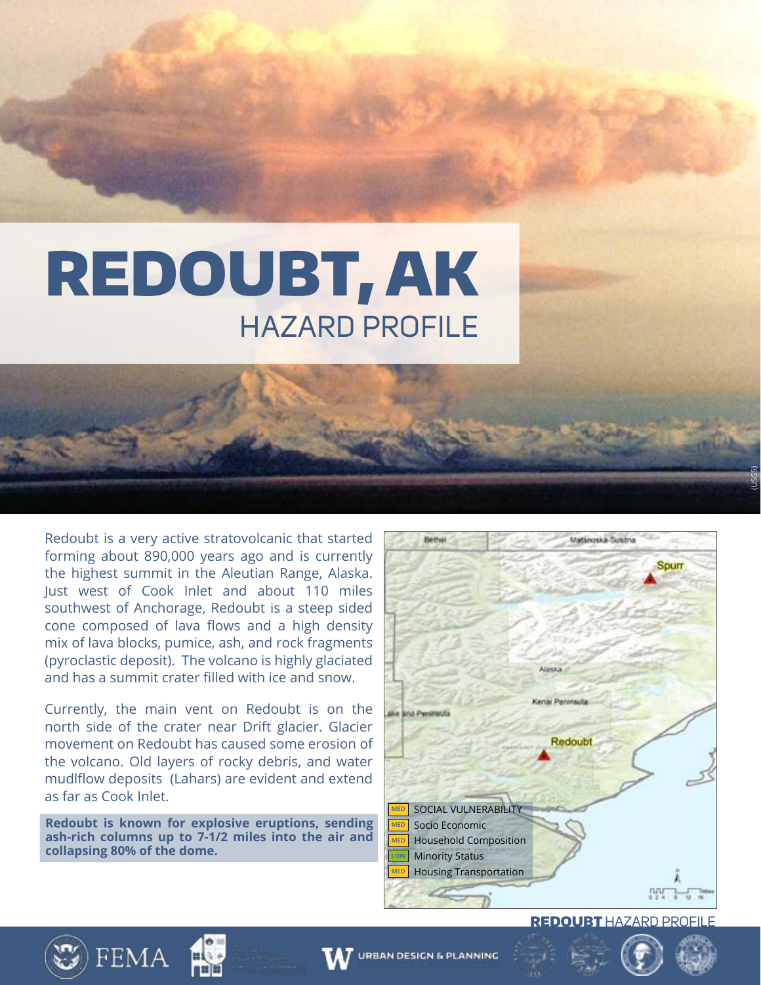REDOUBT, AK HAZARD PROFILE

Redoubt is a very active stratovolcanic that started forming about 890,000 years ago and is currently the highest summit in the Aleutian Range, Alaska. Just west of Cook Inlet and about 110 miles southwest of Anchorage, Redoubt is a steep sided cone composed of lava flows and a high density mix of lava blocks, pumice, ash, and rock fragments (pyroclastic deposit). The volcano is highly glaciated and has a summit crater filled with ice and snow.

Currently, the main vent on Redoubt is on the north side of the crater near Drift glacier. Glacier movement on Redoubt has caused some erosion of the volcano. Old layers of rocky debris, and water mudlflow deposits (Lahars) are evident and extend as far as Cook Inlet.

**Redoubt is known for explosive eruptions, sending ash-rich columns up to 7-1/2 miles into the air and collapsing 80% of the dome.**



#### **REDOUBT HAZARD PROFIL**

(USGS)





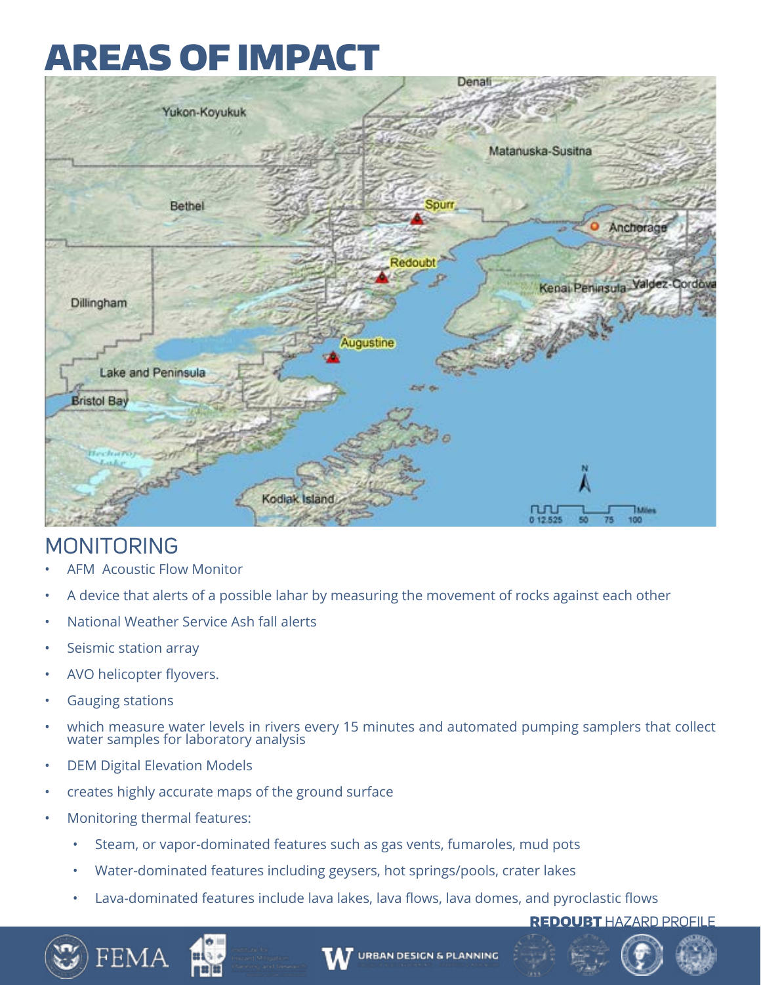

### MONITORING

- AFM Acoustic Flow Monitor
- A device that alerts of a possible lahar by measuring the movement of rocks against each other
- National Weather Service Ash fall alerts
- Seismic station array
- AVO helicopter flyovers.
- Gauging stations
- which measure water levels in rivers every 15 minutes and automated pumping samplers that collect water samples for laboratory analysis
- DEM Digital Elevation Models
- creates highly accurate maps of the ground surface
- Monitoring thermal features:
	- Steam, or vapor-dominated features such as gas vents, fumaroles, mud pots
	- Water-dominated features including geysers, hot springs/pools, crater lakes
	- Lava-dominated features include lava lakes, lava flows, lava domes, and pyroclastic flows

#### REDOUBT HAZARD PROFILE









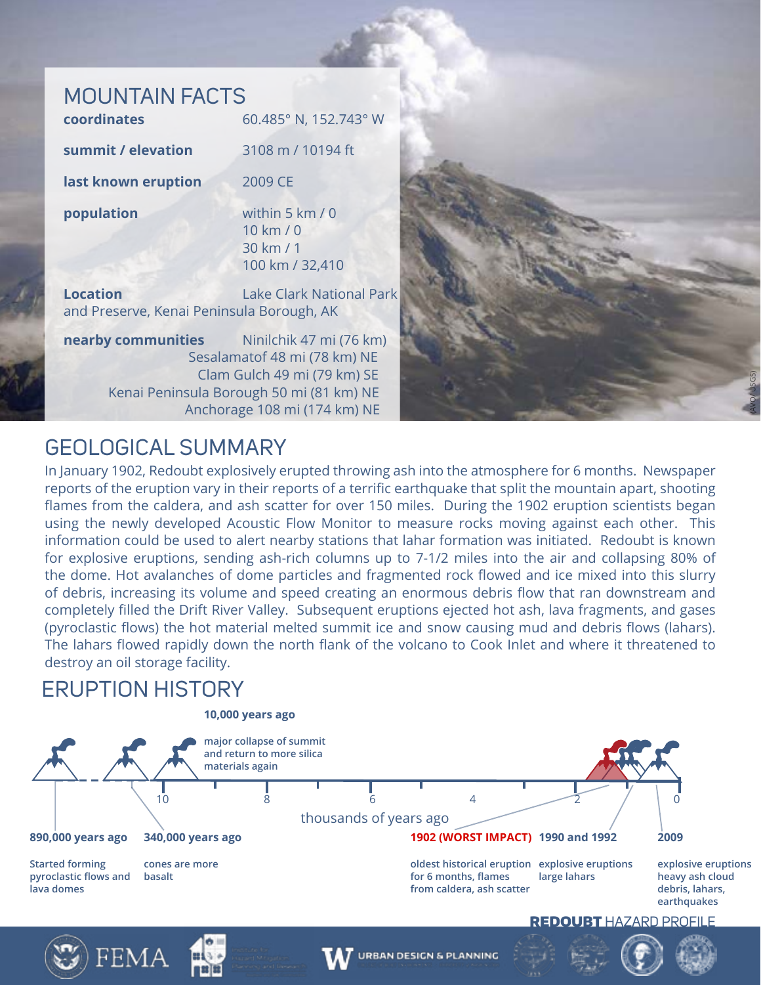### MOUNTAIN FACTS

| coordinates                                                  | 60.485° N, 152.743° W                                        |
|--------------------------------------------------------------|--------------------------------------------------------------|
| summit / elevation                                           | 3108 m / 10194 ft                                            |
| last known eruption                                          | 2009 CE                                                      |
| population                                                   | within 5 km / 0<br>10 km / 0<br>30 km / 1<br>100 km / 32,410 |
| <b>Location</b><br>and Preserve, Kenai Peninsula Borough, AK | Lake Clark National Park                                     |
|                                                              |                                                              |

**nearby communities** Ninilchik 47 mi (76 km) Sesalamatof 48 mi (78 km) NE Clam Gulch 49 mi (79 km) SE Kenai Peninsula Borough 50 mi (81 km) NE Anchorage 108 mi (174 km) NE

### GEOLOGICAL SUMMARY

In January 1902, Redoubt explosively erupted throwing ash into the atmosphere for 6 months. Newspaper reports of the eruption vary in their reports of a terrific earthquake that split the mountain apart, shooting flames from the caldera, and ash scatter for over 150 miles. During the 1902 eruption scientists began using the newly developed Acoustic Flow Monitor to measure rocks moving against each other. This information could be used to alert nearby stations that lahar formation was initiated. Redoubt is known for explosive eruptions, sending ash-rich columns up to 7-1/2 miles into the air and collapsing 80% of the dome. Hot avalanches of dome particles and fragmented rock flowed and ice mixed into this slurry of debris, increasing its volume and speed creating an enormous debris flow that ran downstream and completely filled the Drift River Valley. Subsequent eruptions ejected hot ash, lava fragments, and gases (pyroclastic flows) the hot material melted summit ice and snow causing mud and debris flows (lahars). The lahars flowed rapidly down the north flank of the volcano to Cook Inlet and where it threatened to destroy an oil storage facility.

(AVO/ USGS)

### ERUPTION HISTORY

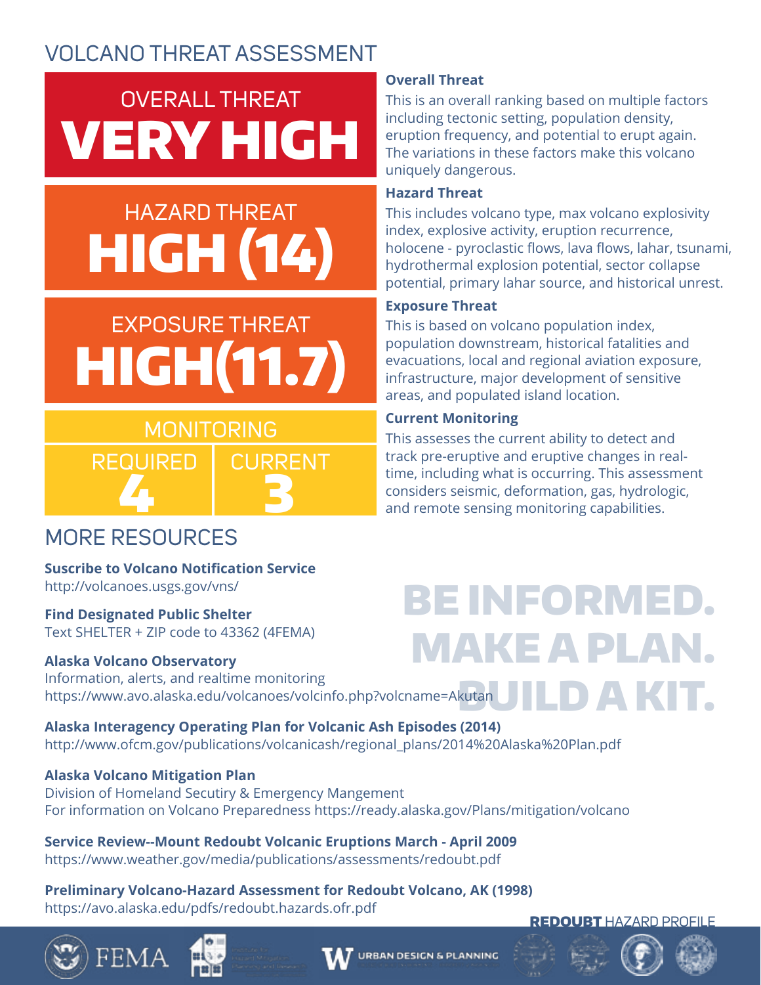## OVERALL THREAT VERY HIGH

## HAZARD THREAT HIGH (14)

## EXPOSURE THREAT HIGH(11.7)



#### **Overall Threat**

This is an overall ranking based on multiple factors including tectonic setting, population density, eruption frequency, and potential to erupt again. The variations in these factors make this volcano uniquely dangerous.

#### **Hazard Threat**

This includes volcano type, max volcano explosivity index, explosive activity, eruption recurrence, holocene - pyroclastic flows, lava flows, lahar, tsunami, hydrothermal explosion potential, sector collapse potential, primary lahar source, and historical unrest.

#### **Exposure Threat**

This is based on volcano population index, population downstream, historical fatalities and evacuations, local and regional aviation exposure, infrastructure, major development of sensitive areas, and populated island location.

#### **Current Monitoring**

This assesses the current ability to detect and track pre-eruptive and eruptive changes in realtime, including what is occurring. This assessment considers seismic, deformation, gas, hydrologic, and remote sensing monitoring capabilities.

### MORE RESOURCES

**Suscribe to Volcano Notification Service**  http://volcanoes.usgs.gov/vns/

**Find Designated Public Shelter** Text SHELTER + ZIP code to 43362 (4FEMA)

#### **Alaska Volcano Observatory**

Information, alerts, and realtime monitoring https://www.avo.alaska.edu/volcanoes/volcinfo.php?volcname=Akutan

## BE INFORMED. MAKE A PLAN. kutan JILD A KIT.

**Alaska Interagency Operating Plan for Volcanic Ash Episodes (2014)** http://www.ofcm.gov/publications/volcanicash/regional\_plans/2014%20Alaska%20Plan.pdf

#### **Alaska Volcano Mitigation Plan**

Division of Homeland Secutiry & Emergency Mangement For information on Volcano Preparedness https://ready.alaska.gov/Plans/mitigation/volcano

**Service Review--Mount Redoubt Volcanic Eruptions March - April 2009**  https://www.weather.gov/media/publications/assessments/redoubt.pdf

**Preliminary Volcano-Hazard Assessment for Redoubt Volcano, AK (1998)** https://avo.alaska.edu/pdfs/redoubt.hazards.ofr.pdf









#### REDOUBT HAZARD PROFILE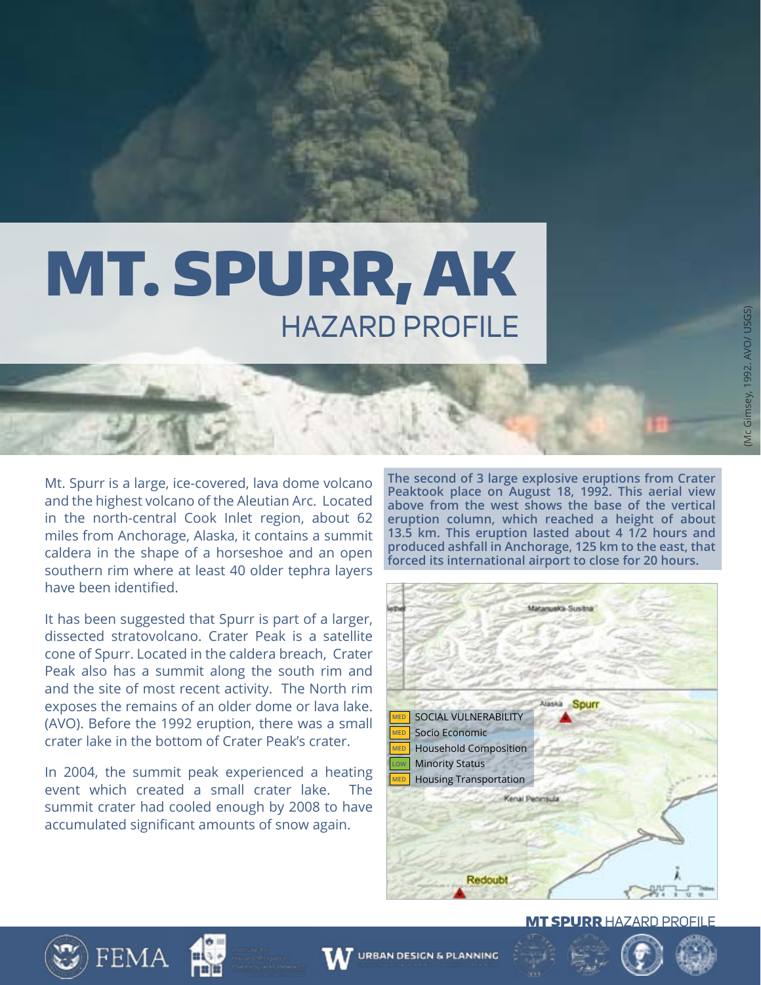## MT. SPURR, AK HAZARD PROFILE

Mt. Spurr is a large, ice-covered, lava dome volcano and the highest volcano of the Aleutian Arc. Located in the north-central Cook Inlet region, about 62 miles from Anchorage, Alaska, it contains a summit caldera in the shape of a horseshoe and an open southern rim where at least 40 older tephra layers have been identified.

It has been suggested that Spurr is part of a larger, dissected stratovolcano. Crater Peak is a satellite cone of Spurr. Located in the caldera breach, Crater Peak also has a summit along the south rim and and the site of most recent activity. The North rim exposes the remains of an older dome or lava lake. (AVO). Before the 1992 eruption, there was a small crater lake in the bottom of Crater Peak's crater.

In 2004, the summit peak experienced a heating event which created a small crater lake. The summit crater had cooled enough by 2008 to have accumulated significant amounts of snow again.

**The second of 3 large explosive eruptions from Crater Peaktook place on August 18, 1992. This aerial view above from the west shows the base of the vertical eruption column, which reached a height of about 13.5 km. This eruption lasted about 4 1/2 hours and produced ashfall in Anchorage, 125 km to the east, that forced its international airport to close for 20 hours.** 



#### **MT SPURR HAZARD PROFILE**





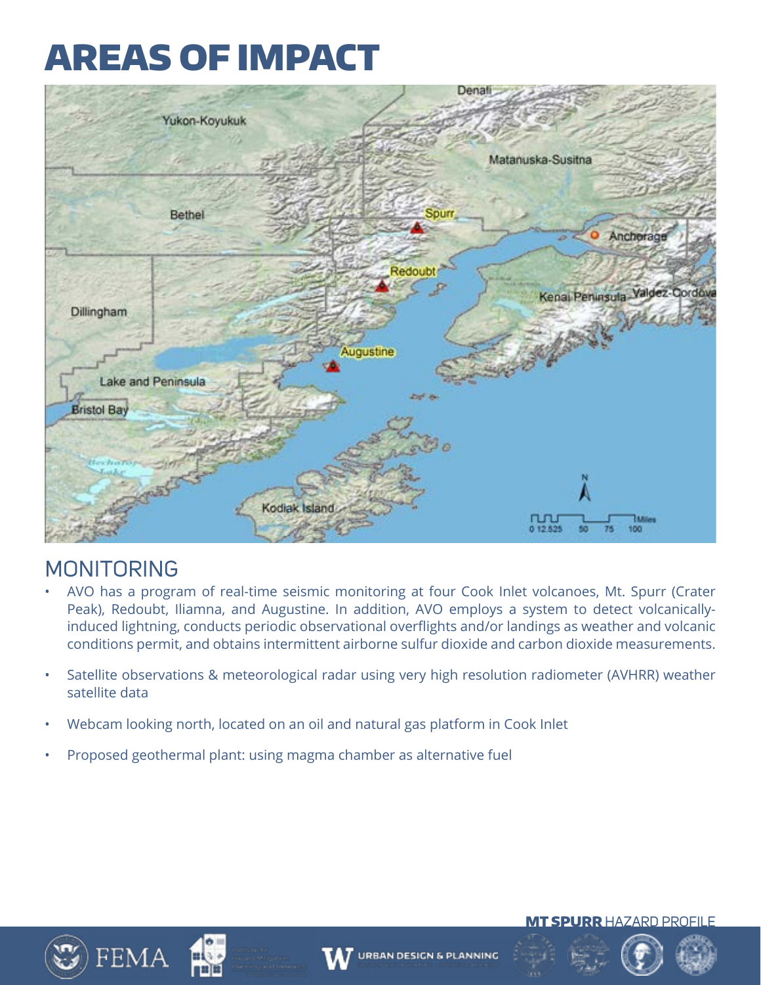

### MONITORING

- AVO has a program of real-time seismic monitoring at four Cook Inlet volcanoes, Mt. Spurr (Crater Peak), Redoubt, Iliamna, and Augustine. In addition, AVO employs a system to detect volcanicallyinduced lightning, conducts periodic observational overflights and/or landings as weather and volcanic conditions permit, and obtains intermittent airborne sulfur dioxide and carbon dioxide measurements.
- Satellite observations & meteorological radar using very high resolution radiometer (AVHRR) weather satellite data
- Webcam looking north, located on an oil and natural gas platform in Cook Inlet
- Proposed geothermal plant: using magma chamber as alternative fuel







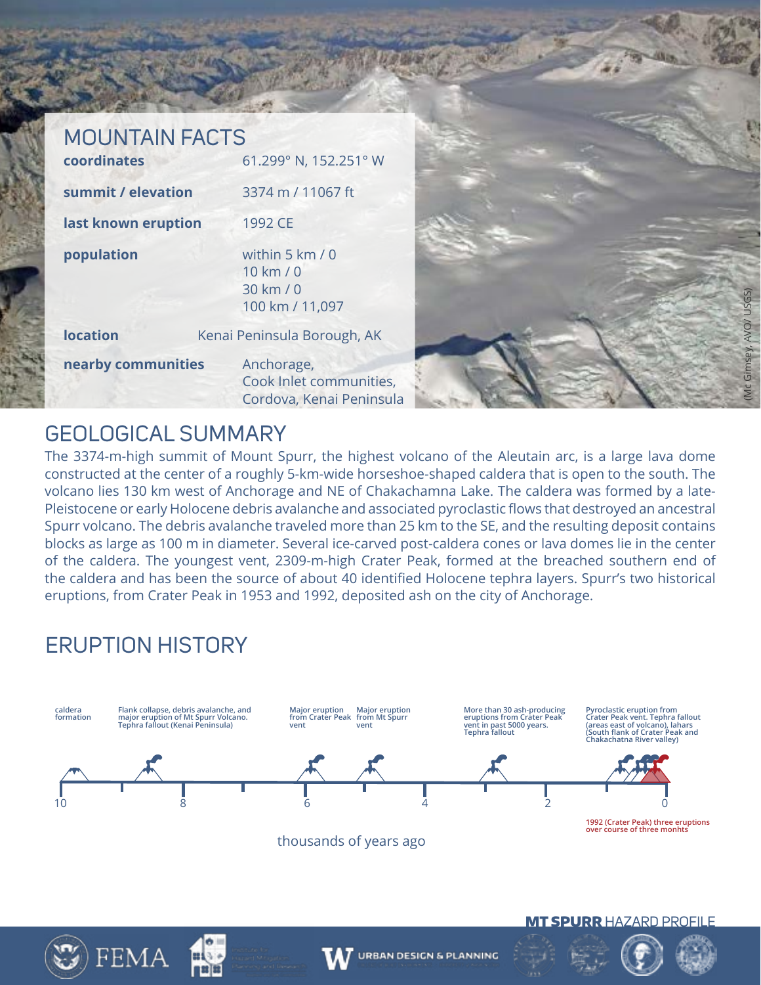| <b>MOUNTAIN FACTS</b><br>coordinates | 61.299° N, 152.251° W                                                  |
|--------------------------------------|------------------------------------------------------------------------|
| summit / elevation                   | 3374 m / 11067 ft                                                      |
| last known eruption                  | 1992 CE                                                                |
| population                           | within 5 km / 0<br>$10 \text{ km} / 0$<br>30 km / 0<br>100 km / 11,097 |
| <b>location</b>                      | Kenai Peninsula Borough, AK                                            |
| nearby communities                   | Anchorage,<br>Cook Inlet communities,<br>Cordova, Kenai Peninsula      |



### GEOLOGICAL SUMMARY

The 3374-m-high summit of Mount Spurr, the highest volcano of the Aleutain arc, is a large lava dome constructed at the center of a roughly 5-km-wide horseshoe-shaped caldera that is open to the south. The volcano lies 130 km west of Anchorage and NE of Chakachamna Lake. The caldera was formed by a late-Pleistocene or early Holocene debris avalanche and associated pyroclastic flows that destroyed an ancestral Spurr volcano. The debris avalanche traveled more than 25 km to the SE, and the resulting deposit contains blocks as large as 100 m in diameter. Several ice-carved post-caldera cones or lava domes lie in the center of the caldera. The youngest vent, 2309-m-high Crater Peak, formed at the breached southern end of the caldera and has been the source of about 40 identified Holocene tephra layers. Spurr's two historical eruptions, from Crater Peak in 1953 and 1992, deposited ash on the city of Anchorage.

### ERUPTION HISTORY

**FEMA** 



**URBAN DESIGN & PLANNING**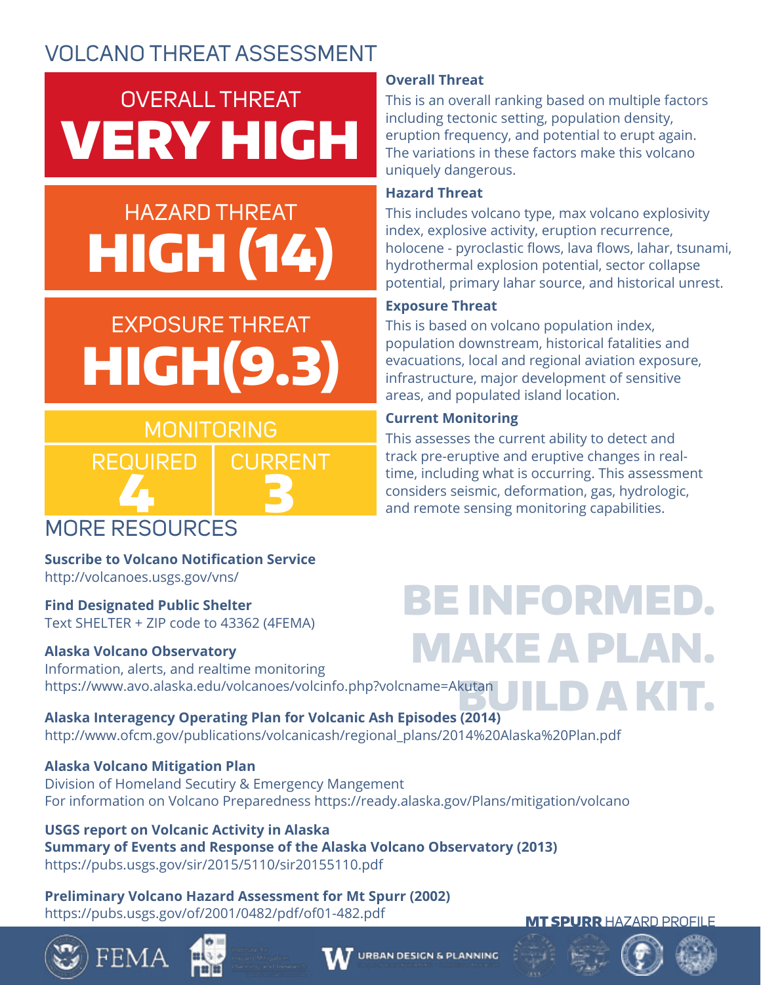## OVERALL THREAT VERY HIGH

## HAZARD THREAT HIGH (14)

## EXPOSURE THREAT HIGH(9.3)

## **MONITORING** REQUIRED | CURRENT 4 3

### MORE RESOURCES

**Suscribe to Volcano Notification Service**  http://volcanoes.usgs.gov/vns/

**Find Designated Public Shelter** Text SHELTER + ZIP code to 43362 (4FEMA)

#### **Alaska Volcano Observatory**

Information, alerts, and realtime monitoring https://www.avo.alaska.edu/volcanoes/volcinfo.php?volcname=Akutan

**Kutan JILD A KIT. Alaska Interagency Operating Plan for Volcanic Ash Episodes (2014)** http://www.ofcm.gov/publications/volcanicash/regional\_plans/2014%20Alaska%20Plan.pdf

#### **Alaska Volcano Mitigation Plan**

Division of Homeland Secutiry & Emergency Mangement For information on Volcano Preparedness https://ready.alaska.gov/Plans/mitigation/volcano

**USGS report on Volcanic Activity in Alaska Summary of Events and Response of the Alaska Volcano Observatory (2013)** https://pubs.usgs.gov/sir/2015/5110/sir20155110.pdf

**Preliminary Volcano Hazard Assessment for Mt Spurr (2002)** https://pubs.usgs.gov/of/2001/0482/pdf/of01-482.pdf

#### **Overall Threat**

This is an overall ranking based on multiple factors including tectonic setting, population density, eruption frequency, and potential to erupt again. The variations in these factors make this volcano uniquely dangerous.

#### **Hazard Threat**

This includes volcano type, max volcano explosivity index, explosive activity, eruption recurrence, holocene - pyroclastic flows, lava flows, lahar, tsunami, hydrothermal explosion potential, sector collapse potential, primary lahar source, and historical unrest.

#### **Exposure Threat**

This is based on volcano population index, population downstream, historical fatalities and evacuations, local and regional aviation exposure, infrastructure, major development of sensitive areas, and populated island location.

#### **Current Monitoring**

This assesses the current ability to detect and track pre-eruptive and eruptive changes in realtime, including what is occurring. This assessment considers seismic, deformation, gas, hydrologic, and remote sensing monitoring capabilities.

## BE INFORMED. MAKE A PLAN.

**MT SPURR HAZARD PROFILE** 





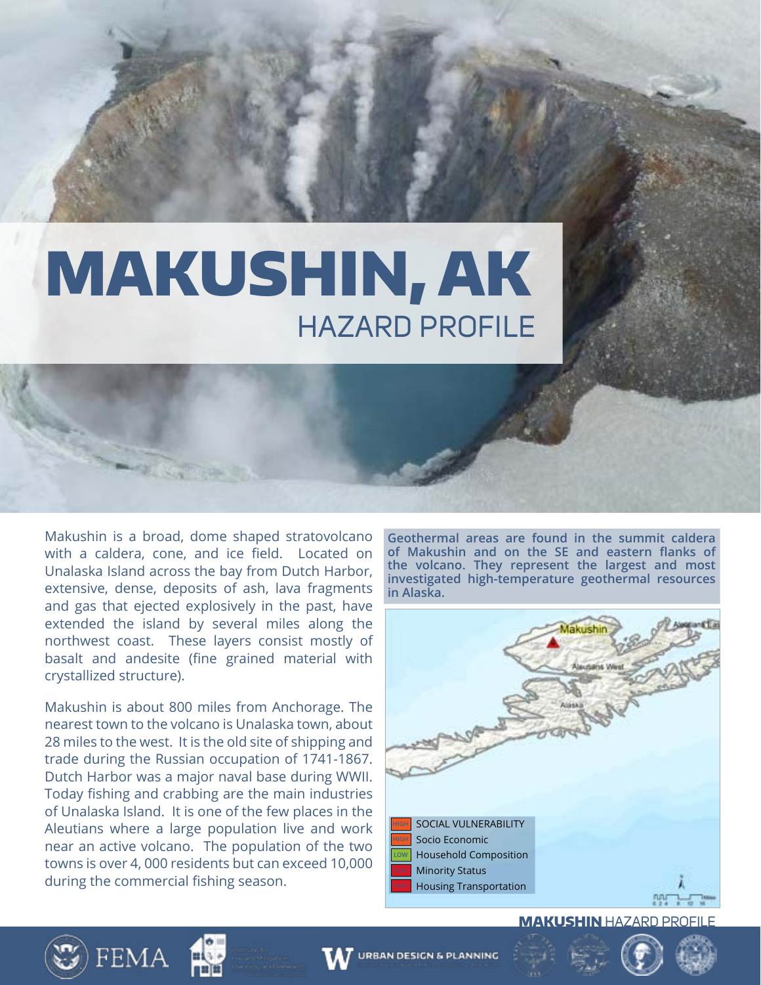## MAKUSHIN, AK HAZARD PROFILE

Makushin is a broad, dome shaped stratovolcano with a caldera, cone, and ice field. Located on Unalaska Island across the bay from Dutch Harbor, extensive, dense, deposits of ash, lava fragments and gas that ejected explosively in the past, have extended the island by several miles along the northwest coast. These layers consist mostly of basalt and andesite (fine grained material with crystallized structure).

Makushin is about 800 miles from Anchorage. The nearest town to the volcano is Unalaska town, about 28 miles to the west. It is the old site of shipping and trade during the Russian occupation of 1741-1867. Dutch Harbor was a major naval base during WWII. Today fishing and crabbing are the main industries of Unalaska Island. It is one of the few places in the Aleutians where a large population live and work near an active volcano. The population of the two towns is over 4, 000 residents but can exceed 10,000 during the commercial fishing season.

**Geothermal areas are found in the summit caldera of Makushin and on the SE and eastern flanks of the volcano. They represent the largest and most investigated high-temperature geothermal resources in Alaska.** 



#### **MAKUSHIN HAZARD PROFIL**







**URBAN DESIGN & PLANNING**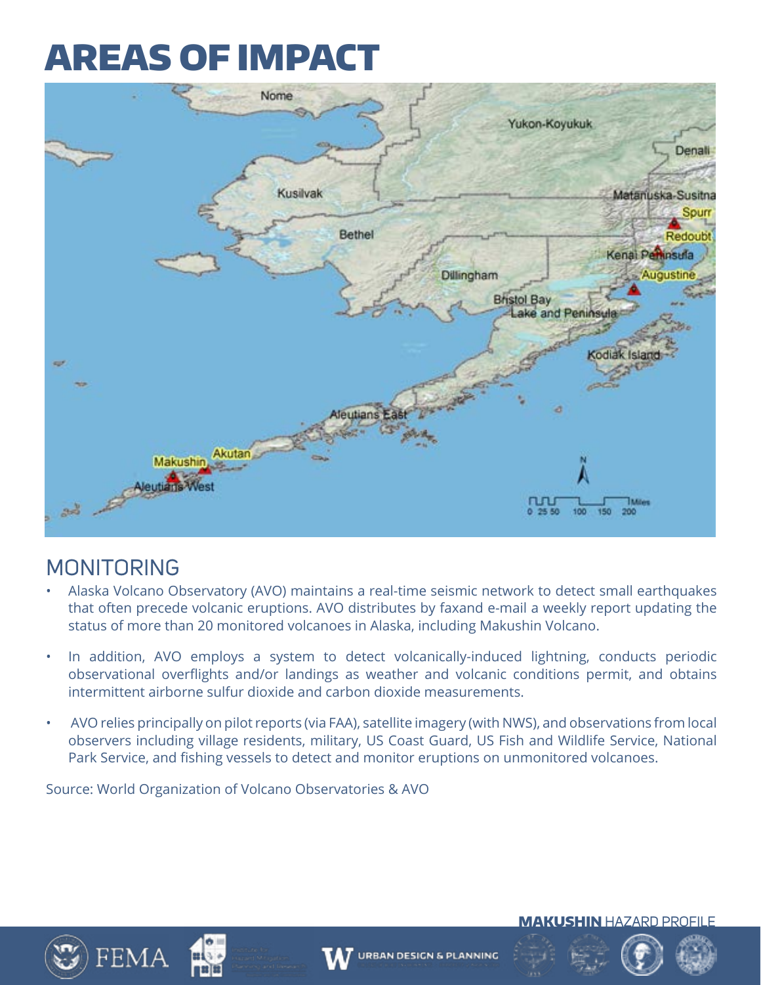

### MONITORING

- Alaska Volcano Observatory (AVO) maintains a real-time seismic network to detect small earthquakes that often precede volcanic eruptions. AVO distributes by faxand e-mail a weekly report updating the status of more than 20 monitored volcanoes in Alaska, including Makushin Volcano.
- In addition, AVO employs a system to detect volcanically-induced lightning, conducts periodic observational overflights and/or landings as weather and volcanic conditions permit, and obtains intermittent airborne sulfur dioxide and carbon dioxide measurements.
- AVO relies principally on pilot reports (via FAA), satellite imagery (with NWS), and observations from local observers including village residents, military, US Coast Guard, US Fish and Wildlife Service, National Park Service, and fishing vessels to detect and monitor eruptions on unmonitored volcanoes.

Source: World Organization of Volcano Observatories & AVO









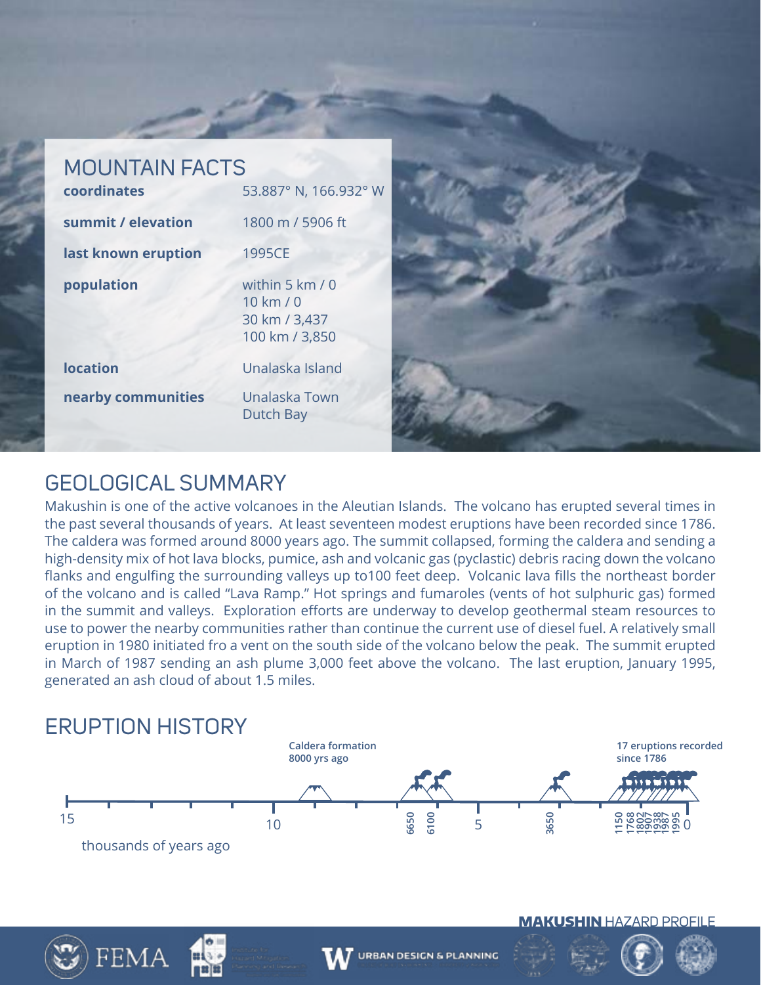| <b>MOUNTAIN FACTS</b> |                            |
|-----------------------|----------------------------|
| coordinates           | 53.887° N, 166.932° W      |
| summit / elevation    | 1800 m / 5906 ft           |
| last known eruption   | 1995CE                     |
| population            | within 5 km / 0            |
|                       | 10 km / 0<br>30 km / 3,437 |
|                       | 100 km / 3,850             |
| <b>location</b>       | Unalaska Island            |
| nearby communities    | Unalaska Town              |
|                       | Dutch Bay                  |
|                       |                            |

### GEOLOGICAL SUMMARY

Makushin is one of the active volcanoes in the Aleutian Islands. The volcano has erupted several times in the past several thousands of years. At least seventeen modest eruptions have been recorded since 1786. The caldera was formed around 8000 years ago. The summit collapsed, forming the caldera and sending a high-density mix of hot lava blocks, pumice, ash and volcanic gas (pyclastic) debris racing down the volcano flanks and engulfing the surrounding valleys up to100 feet deep. Volcanic lava fills the northeast border of the volcano and is called "Lava Ramp." Hot springs and fumaroles (vents of hot sulphuric gas) formed in the summit and valleys. Exploration efforts are underway to develop geothermal steam resources to use to power the nearby communities rather than continue the current use of diesel fuel. A relatively small eruption in 1980 initiated fro a vent on the south side of the volcano below the peak. The summit erupted in March of 1987 sending an ash plume 3,000 feet above the volcano. The last eruption, January 1995, generated an ash cloud of about 1.5 miles.